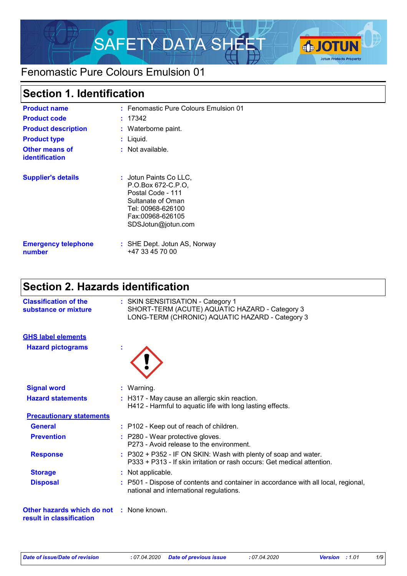

### Fenomastic Pure Colours Emulsion 01

### **Section 1. Identification**

| <b>Product name</b><br><b>Product code</b><br><b>Product description</b><br><b>Product type</b><br><b>Other means of</b><br><b>identification</b> | : Fenomastic Pure Colours Emulsion 01<br>: 17342<br>: Waterborne paint.<br>Liquid.<br>$:$ Not available.                                              |
|---------------------------------------------------------------------------------------------------------------------------------------------------|-------------------------------------------------------------------------------------------------------------------------------------------------------|
| <b>Supplier's details</b>                                                                                                                         | : Jotun Paints Co LLC.<br>P.O.Box 672-C.P.O.<br>Postal Code - 111<br>Sultanate of Oman<br>Tel: 00968-626100<br>Fax:00968-626105<br>SDSJotun@jotun.com |
| <b>Emergency telephone</b><br>number                                                                                                              | : SHE Dept. Jotun AS, Norway<br>+47 33 45 70 00                                                                                                       |

# **Section 2. Hazards identification**

| <b>Classification of the</b><br>substance or mixture                        | : SKIN SENSITISATION - Category 1<br>SHORT-TERM (ACUTE) AQUATIC HAZARD - Category 3<br>LONG-TERM (CHRONIC) AQUATIC HAZARD - Category 3     |
|-----------------------------------------------------------------------------|--------------------------------------------------------------------------------------------------------------------------------------------|
| <b>GHS label elements</b>                                                   |                                                                                                                                            |
| <b>Hazard pictograms</b>                                                    |                                                                                                                                            |
| <b>Signal word</b>                                                          | : Warning.                                                                                                                                 |
| <b>Hazard statements</b>                                                    | : H317 - May cause an allergic skin reaction.<br>H412 - Harmful to aquatic life with long lasting effects.                                 |
| <b>Precautionary statements</b>                                             |                                                                                                                                            |
| <b>General</b>                                                              | : P102 - Keep out of reach of children.                                                                                                    |
| <b>Prevention</b>                                                           | : P280 - Wear protective gloves.<br>P273 - Avoid release to the environment.                                                               |
| <b>Response</b>                                                             | : P302 + P352 - IF ON SKIN: Wash with plenty of soap and water.<br>P333 + P313 - If skin irritation or rash occurs: Get medical attention. |
| <b>Storage</b>                                                              | : Not applicable.                                                                                                                          |
| <b>Disposal</b>                                                             | : P501 - Dispose of contents and container in accordance with all local, regional,<br>national and international regulations.              |
| <b>Other hazards which do not : None known.</b><br>result in classification |                                                                                                                                            |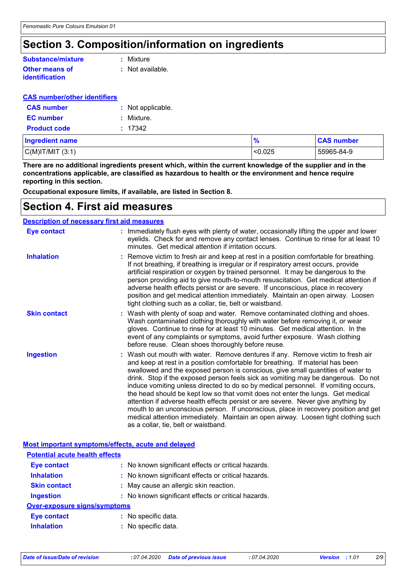### **Section 3. Composition/information on ingredients**

#### **Other means of identification Substance/mixture**

**:** Mixture

**:** Not available.

#### **CAS number/other identifiers**

| <b>CAS number</b>   | : Not applicable. |
|---------------------|-------------------|
| <b>EC</b> number    | : Mixture.        |
| <b>Product code</b> | : 17342           |

| <b>Ingredient name</b> | $\frac{9}{6}$ | <b>CAS number</b> |
|------------------------|---------------|-------------------|
| $C(M)$ IT/MIT $(3:1)$  | < 0.025       | 55965-84-9        |

**There are no additional ingredients present which, within the current knowledge of the supplier and in the concentrations applicable, are classified as hazardous to health or the environment and hence require reporting in this section.**

**Occupational exposure limits, if available, are listed in Section 8.**

### **Section 4. First aid measures**

#### **Description of necessary first aid measures**

| <b>Eye contact</b>  | : Immediately flush eyes with plenty of water, occasionally lifting the upper and lower<br>eyelids. Check for and remove any contact lenses. Continue to rinse for at least 10<br>minutes. Get medical attention if irritation occurs.                                                                                                                                                                                                                                                                                                                                                                                                                                                                                                                                                                                       |
|---------------------|------------------------------------------------------------------------------------------------------------------------------------------------------------------------------------------------------------------------------------------------------------------------------------------------------------------------------------------------------------------------------------------------------------------------------------------------------------------------------------------------------------------------------------------------------------------------------------------------------------------------------------------------------------------------------------------------------------------------------------------------------------------------------------------------------------------------------|
| <b>Inhalation</b>   | : Remove victim to fresh air and keep at rest in a position comfortable for breathing.<br>If not breathing, if breathing is irregular or if respiratory arrest occurs, provide<br>artificial respiration or oxygen by trained personnel. It may be dangerous to the<br>person providing aid to give mouth-to-mouth resuscitation. Get medical attention if<br>adverse health effects persist or are severe. If unconscious, place in recovery<br>position and get medical attention immediately. Maintain an open airway. Loosen<br>tight clothing such as a collar, tie, belt or waistband.                                                                                                                                                                                                                                 |
| <b>Skin contact</b> | : Wash with plenty of soap and water. Remove contaminated clothing and shoes.<br>Wash contaminated clothing thoroughly with water before removing it, or wear<br>gloves. Continue to rinse for at least 10 minutes. Get medical attention. In the<br>event of any complaints or symptoms, avoid further exposure. Wash clothing<br>before reuse. Clean shoes thoroughly before reuse.                                                                                                                                                                                                                                                                                                                                                                                                                                        |
| <b>Ingestion</b>    | : Wash out mouth with water. Remove dentures if any. Remove victim to fresh air<br>and keep at rest in a position comfortable for breathing. If material has been<br>swallowed and the exposed person is conscious, give small quantities of water to<br>drink. Stop if the exposed person feels sick as vomiting may be dangerous. Do not<br>induce vomiting unless directed to do so by medical personnel. If vomiting occurs,<br>the head should be kept low so that vomit does not enter the lungs. Get medical<br>attention if adverse health effects persist or are severe. Never give anything by<br>mouth to an unconscious person. If unconscious, place in recovery position and get<br>medical attention immediately. Maintain an open airway. Loosen tight clothing such<br>as a collar, tie, belt or waistband. |

#### **Most important symptoms/effects, acute and delayed**

| <b>Potential acute health effects</b> |                                                     |
|---------------------------------------|-----------------------------------------------------|
| <b>Eye contact</b>                    | : No known significant effects or critical hazards. |
| <b>Inhalation</b>                     | : No known significant effects or critical hazards. |
| <b>Skin contact</b>                   | : May cause an allergic skin reaction.              |
| <b>Ingestion</b>                      | : No known significant effects or critical hazards. |
| <b>Over-exposure signs/symptoms</b>   |                                                     |
| <b>Eye contact</b>                    | : No specific data.                                 |
| <b>Inhalation</b>                     | : No specific data.                                 |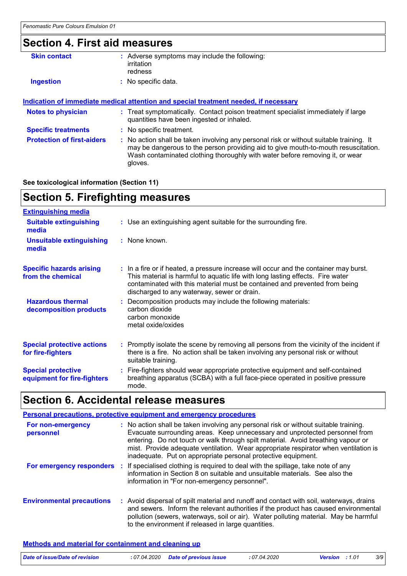### **Section 4. First aid measures**

| : Adverse symptoms may include the following:<br>irritation<br>redness                                                                                                                                                                                                   |
|--------------------------------------------------------------------------------------------------------------------------------------------------------------------------------------------------------------------------------------------------------------------------|
| : No specific data.                                                                                                                                                                                                                                                      |
| Indication of immediate medical attention and special treatment needed, if necessary                                                                                                                                                                                     |
| : Treat symptomatically. Contact poison treatment specialist immediately if large<br>quantities have been ingested or inhaled.                                                                                                                                           |
| : No specific treatment.                                                                                                                                                                                                                                                 |
| : No action shall be taken involving any personal risk or without suitable training. It<br>may be dangerous to the person providing aid to give mouth-to-mouth resuscitation.<br>Wash contaminated clothing thoroughly with water before removing it, or wear<br>gloves. |
|                                                                                                                                                                                                                                                                          |

#### **See toxicological information (Section 11)**

### **Section 5. Firefighting measures**

| <b>Extinguishing media</b>                               |                                                                                                                                                                                                                                                                                                      |
|----------------------------------------------------------|------------------------------------------------------------------------------------------------------------------------------------------------------------------------------------------------------------------------------------------------------------------------------------------------------|
| <b>Suitable extinguishing</b><br>media                   | : Use an extinguishing agent suitable for the surrounding fire.                                                                                                                                                                                                                                      |
| <b>Unsuitable extinguishing</b><br>media                 | : None known.                                                                                                                                                                                                                                                                                        |
| <b>Specific hazards arising</b><br>from the chemical     | : In a fire or if heated, a pressure increase will occur and the container may burst.<br>This material is harmful to aquatic life with long lasting effects. Fire water<br>contaminated with this material must be contained and prevented from being<br>discharged to any waterway, sewer or drain. |
| <b>Hazardous thermal</b><br>decomposition products       | : Decomposition products may include the following materials:<br>carbon dioxide<br>carbon monoxide<br>metal oxide/oxides                                                                                                                                                                             |
| <b>Special protective actions</b><br>for fire-fighters   | : Promptly isolate the scene by removing all persons from the vicinity of the incident if<br>there is a fire. No action shall be taken involving any personal risk or without<br>suitable training.                                                                                                  |
| <b>Special protective</b><br>equipment for fire-fighters | : Fire-fighters should wear appropriate protective equipment and self-contained<br>breathing apparatus (SCBA) with a full face-piece operated in positive pressure<br>mode.                                                                                                                          |

### **Section 6. Accidental release measures**

#### **Environmental precautions Personal precautions, protective equipment and emergency procedures :** Avoid dispersal of spilt material and runoff and contact with soil, waterways, drains **:** No action shall be taken involving any personal risk or without suitable training. Evacuate surrounding areas. Keep unnecessary and unprotected personnel from entering. Do not touch or walk through spilt material. Avoid breathing vapour or mist. Provide adequate ventilation. Wear appropriate respirator when ventilation is inadequate. Put on appropriate personal protective equipment. and sewers. Inform the relevant authorities if the product has caused environmental pollution (sewers, waterways, soil or air). Water polluting material. May be harmful to the environment if released in large quantities. **For non-emergency personnel For emergency responders :** If specialised clothing is required to deal with the spillage, take note of any information in Section 8 on suitable and unsuitable materials. See also the information in "For non-emergency personnel".

#### **Methods and material for containment and cleaning up**

| Date of issue/Date of revision | : 07.04.2020 Date of previous issue | : 07.04.2020 | <b>Version</b> : 1.01 | 3/9 |
|--------------------------------|-------------------------------------|--------------|-----------------------|-----|
|                                |                                     |              |                       |     |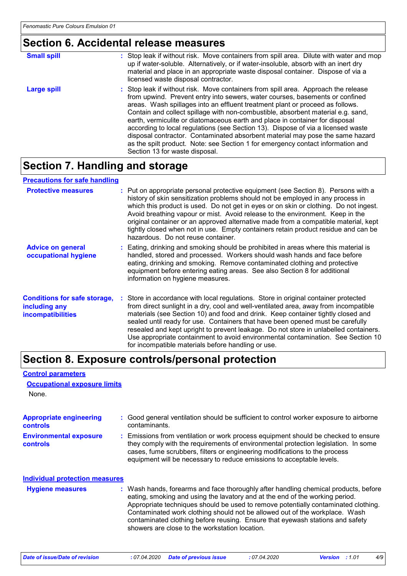# **Section 6. Accidental release measures**

| <b>Small spill</b> | : Stop leak if without risk. Move containers from spill area. Dilute with water and mop<br>up if water-soluble. Alternatively, or if water-insoluble, absorb with an inert dry<br>material and place in an appropriate waste disposal container. Dispose of via a<br>licensed waste disposal contractor.                                                                                                                                                                                                                                                                                                                                                                                                          |
|--------------------|-------------------------------------------------------------------------------------------------------------------------------------------------------------------------------------------------------------------------------------------------------------------------------------------------------------------------------------------------------------------------------------------------------------------------------------------------------------------------------------------------------------------------------------------------------------------------------------------------------------------------------------------------------------------------------------------------------------------|
| Large spill        | : Stop leak if without risk. Move containers from spill area. Approach the release<br>from upwind. Prevent entry into sewers, water courses, basements or confined<br>areas. Wash spillages into an effluent treatment plant or proceed as follows.<br>Contain and collect spillage with non-combustible, absorbent material e.g. sand,<br>earth, vermiculite or diatomaceous earth and place in container for disposal<br>according to local regulations (see Section 13). Dispose of via a licensed waste<br>disposal contractor. Contaminated absorbent material may pose the same hazard<br>as the spilt product. Note: see Section 1 for emergency contact information and<br>Section 13 for waste disposal. |

### **Section 7. Handling and storage**

#### **Precautions for safe handling**

| <b>Protective measures</b>                                                       | : Put on appropriate personal protective equipment (see Section 8). Persons with a<br>history of skin sensitization problems should not be employed in any process in<br>which this product is used. Do not get in eyes or on skin or clothing. Do not ingest.<br>Avoid breathing vapour or mist. Avoid release to the environment. Keep in the<br>original container or an approved alternative made from a compatible material, kept<br>tightly closed when not in use. Empty containers retain product residue and can be<br>hazardous. Do not reuse container.                  |
|----------------------------------------------------------------------------------|-------------------------------------------------------------------------------------------------------------------------------------------------------------------------------------------------------------------------------------------------------------------------------------------------------------------------------------------------------------------------------------------------------------------------------------------------------------------------------------------------------------------------------------------------------------------------------------|
| <b>Advice on general</b><br>occupational hygiene                                 | : Eating, drinking and smoking should be prohibited in areas where this material is<br>handled, stored and processed. Workers should wash hands and face before<br>eating, drinking and smoking. Remove contaminated clothing and protective<br>equipment before entering eating areas. See also Section 8 for additional<br>information on hygiene measures.                                                                                                                                                                                                                       |
| <b>Conditions for safe storage,</b><br>including any<br><i>incompatibilities</i> | : Store in accordance with local regulations. Store in original container protected<br>from direct sunlight in a dry, cool and well-ventilated area, away from incompatible<br>materials (see Section 10) and food and drink. Keep container tightly closed and<br>sealed until ready for use. Containers that have been opened must be carefully<br>resealed and kept upright to prevent leakage. Do not store in unlabelled containers.<br>Use appropriate containment to avoid environmental contamination. See Section 10<br>for incompatible materials before handling or use. |

### **Section 8. Exposure controls/personal protection**

#### **Control parameters**

| <b>Occupational exposure limits</b><br>None.      |                                                                                                                                                                                                                                                                                                                                                                                                                                                                             |
|---------------------------------------------------|-----------------------------------------------------------------------------------------------------------------------------------------------------------------------------------------------------------------------------------------------------------------------------------------------------------------------------------------------------------------------------------------------------------------------------------------------------------------------------|
| <b>Appropriate engineering</b><br><b>controls</b> | : Good general ventilation should be sufficient to control worker exposure to airborne<br>contaminants.                                                                                                                                                                                                                                                                                                                                                                     |
| <b>Environmental exposure</b><br><b>controls</b>  | : Emissions from ventilation or work process equipment should be checked to ensure<br>they comply with the requirements of environmental protection legislation. In some<br>cases, fume scrubbers, filters or engineering modifications to the process<br>equipment will be necessary to reduce emissions to acceptable levels.                                                                                                                                             |
| <b>Individual protection measures</b>             |                                                                                                                                                                                                                                                                                                                                                                                                                                                                             |
| <b>Hygiene measures</b>                           | : Wash hands, forearms and face thoroughly after handling chemical products, before<br>eating, smoking and using the lavatory and at the end of the working period.<br>Appropriate techniques should be used to remove potentially contaminated clothing.<br>Contaminated work clothing should not be allowed out of the workplace. Wash<br>contaminated clothing before reusing. Ensure that eyewash stations and safety<br>showers are close to the workstation location. |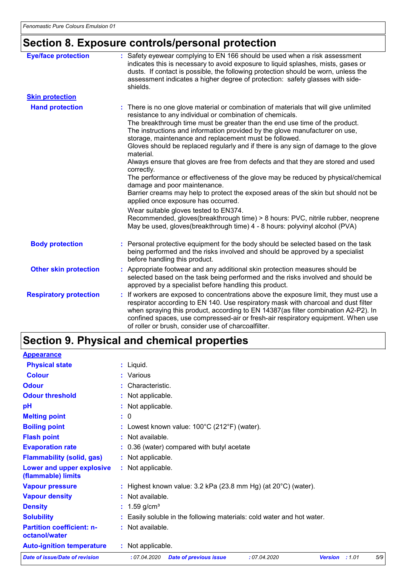# **Section 8. Exposure controls/personal protection**

| <b>Eye/face protection</b>    | : Safety eyewear complying to EN 166 should be used when a risk assessment<br>indicates this is necessary to avoid exposure to liquid splashes, mists, gases or<br>dusts. If contact is possible, the following protection should be worn, unless the<br>assessment indicates a higher degree of protection: safety glasses with side-<br>shields.                                                                                                                                                                                                                                                                                                                                                                                                                                                                                                                                                                                                                                                                                             |
|-------------------------------|------------------------------------------------------------------------------------------------------------------------------------------------------------------------------------------------------------------------------------------------------------------------------------------------------------------------------------------------------------------------------------------------------------------------------------------------------------------------------------------------------------------------------------------------------------------------------------------------------------------------------------------------------------------------------------------------------------------------------------------------------------------------------------------------------------------------------------------------------------------------------------------------------------------------------------------------------------------------------------------------------------------------------------------------|
| <b>Skin protection</b>        |                                                                                                                                                                                                                                                                                                                                                                                                                                                                                                                                                                                                                                                                                                                                                                                                                                                                                                                                                                                                                                                |
| <b>Hand protection</b>        | : There is no one glove material or combination of materials that will give unlimited<br>resistance to any individual or combination of chemicals.<br>The breakthrough time must be greater than the end use time of the product.<br>The instructions and information provided by the glove manufacturer on use,<br>storage, maintenance and replacement must be followed.<br>Gloves should be replaced regularly and if there is any sign of damage to the glove<br>material.<br>Always ensure that gloves are free from defects and that they are stored and used<br>correctly.<br>The performance or effectiveness of the glove may be reduced by physical/chemical<br>damage and poor maintenance.<br>Barrier creams may help to protect the exposed areas of the skin but should not be<br>applied once exposure has occurred.<br>Wear suitable gloves tested to EN374.<br>Recommended, gloves(breakthrough time) > 8 hours: PVC, nitrile rubber, neoprene<br>May be used, gloves(breakthrough time) 4 - 8 hours: polyvinyl alcohol (PVA) |
| <b>Body protection</b>        | : Personal protective equipment for the body should be selected based on the task<br>being performed and the risks involved and should be approved by a specialist<br>before handling this product.                                                                                                                                                                                                                                                                                                                                                                                                                                                                                                                                                                                                                                                                                                                                                                                                                                            |
| <b>Other skin protection</b>  | : Appropriate footwear and any additional skin protection measures should be<br>selected based on the task being performed and the risks involved and should be<br>approved by a specialist before handling this product.                                                                                                                                                                                                                                                                                                                                                                                                                                                                                                                                                                                                                                                                                                                                                                                                                      |
| <b>Respiratory protection</b> | : If workers are exposed to concentrations above the exposure limit, they must use a<br>respirator according to EN 140. Use respiratory mask with charcoal and dust filter<br>when spraying this product, according to EN 14387(as filter combination A2-P2). In<br>confined spaces, use compressed-air or fresh-air respiratory equipment. When use<br>of roller or brush, consider use of charcoalfilter.                                                                                                                                                                                                                                                                                                                                                                                                                                                                                                                                                                                                                                    |

# **Section 9. Physical and chemical properties**

| <b>Appearance</b>                                 |                                                                                                 |
|---------------------------------------------------|-------------------------------------------------------------------------------------------------|
| <b>Physical state</b>                             | $:$ Liquid.                                                                                     |
| <b>Colour</b>                                     | : Various                                                                                       |
| <b>Odour</b>                                      | : Characteristic.                                                                               |
| <b>Odour threshold</b>                            | : Not applicable.                                                                               |
| pH                                                | : Not applicable.                                                                               |
| <b>Melting point</b>                              | : 0                                                                                             |
| <b>Boiling point</b>                              | : Lowest known value: $100^{\circ}$ C (212 $^{\circ}$ F) (water).                               |
| <b>Flash point</b>                                | : Not available.                                                                                |
| <b>Evaporation rate</b>                           | : 0.36 (water) compared with butyl acetate                                                      |
| <b>Flammability (solid, gas)</b>                  | : Not applicable.                                                                               |
| Lower and upper explosive<br>(flammable) limits   | : Not applicable.                                                                               |
| <b>Vapour pressure</b>                            | : Highest known value: $3.2$ kPa (23.8 mm Hg) (at $20^{\circ}$ C) (water).                      |
| <b>Vapour density</b>                             | : Not available.                                                                                |
| <b>Density</b>                                    | : $1.59$ g/cm <sup>3</sup>                                                                      |
| <b>Solubility</b>                                 | : Easily soluble in the following materials: cold water and hot water.                          |
| <b>Partition coefficient: n-</b><br>octanol/water | : Not available.                                                                                |
| <b>Auto-ignition temperature</b>                  | : Not applicable.                                                                               |
| <b>Date of issue/Date of revision</b>             | : 07.04.2020<br><b>Date of previous issue</b><br>: 07.04.2020<br><b>Version</b><br>:1.01<br>5/9 |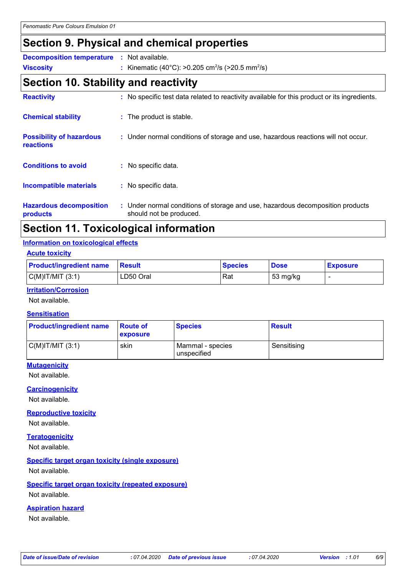### **Section 9. Physical and chemical properties**

**Decomposition temperature :** Not available.

**Viscosity** Kinematic (40°C): >0.205 cm<sup>2</sup> /s (>20.5 mm<sup>2</sup> **:** /s)

### **Section 10. Stability and reactivity**

| <b>Reactivity</b>                            | : No specific test data related to reactivity available for this product or its ingredients.              |
|----------------------------------------------|-----------------------------------------------------------------------------------------------------------|
| <b>Chemical stability</b>                    | : The product is stable.                                                                                  |
| <b>Possibility of hazardous</b><br>reactions | : Under normal conditions of storage and use, hazardous reactions will not occur.                         |
| <b>Conditions to avoid</b>                   | : No specific data.                                                                                       |
| <b>Incompatible materials</b>                | : No specific data.                                                                                       |
| <b>Hazardous decomposition</b><br>products   | : Under normal conditions of storage and use, hazardous decomposition products<br>should not be produced. |

## **Section 11. Toxicological information**

#### **Information on toxicological effects**

#### **Acute toxicity**

| <b>Product/ingredient name</b> | <b>Besult</b> | ∣Species | <b>Dose</b> | <b>Exposure</b> |
|--------------------------------|---------------|----------|-------------|-----------------|
| $C(M)$ IT/MIT $(3:1)$          | LD50 Oral     | Rat      | 53 mg/kg    |                 |

#### **Irritation/Corrosion**

Not available.

#### **Sensitisation**

| <b>Product/ingredient name</b> | <b>Route of</b><br>exposure | <b>Species</b>                  | <b>Result</b> |
|--------------------------------|-----------------------------|---------------------------------|---------------|
| C(M) T/MIT (3:1)               | skin                        | Mammal - species<br>unspecified | Sensitising   |

#### **Mutagenicity**

Not available.

#### **Carcinogenicity**

Not available.

#### **Reproductive toxicity**

Not available.

#### **Teratogenicity**

Not available.

#### **Specific target organ toxicity (single exposure)**

Not available.

#### **Specific target organ toxicity (repeated exposure)**

Not available.

#### **Aspiration hazard**

Not available.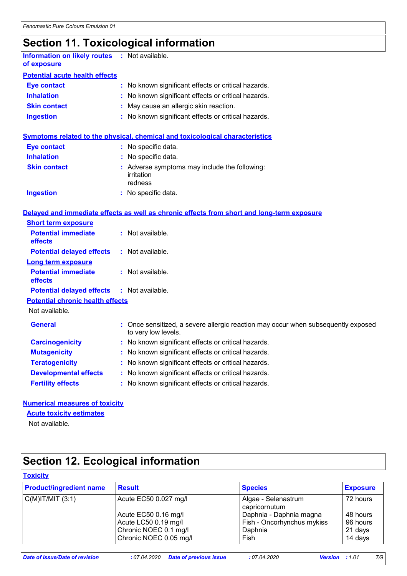# **Section 11. Toxicological information**

| Information on likely routes : Not available.<br>of exposure |                                                                                                          |
|--------------------------------------------------------------|----------------------------------------------------------------------------------------------------------|
| <b>Potential acute health effects</b>                        |                                                                                                          |
| <b>Eye contact</b>                                           | : No known significant effects or critical hazards.                                                      |
| <b>Inhalation</b>                                            | No known significant effects or critical hazards.                                                        |
| <b>Skin contact</b>                                          | May cause an allergic skin reaction.                                                                     |
| <b>Ingestion</b>                                             | No known significant effects or critical hazards.                                                        |
|                                                              | <b>Symptoms related to the physical, chemical and toxicological characteristics</b>                      |
| <b>Eye contact</b>                                           | : No specific data.                                                                                      |
| <b>Inhalation</b>                                            | : No specific data.                                                                                      |
| <b>Skin contact</b>                                          | : Adverse symptoms may include the following:                                                            |
|                                                              | irritation<br>redness                                                                                    |
| <b>Ingestion</b>                                             | : No specific data.                                                                                      |
|                                                              |                                                                                                          |
|                                                              | Delayed and immediate effects as well as chronic effects from short and long-term exposure               |
| <b>Short term exposure</b>                                   |                                                                                                          |
| <b>Potential immediate</b><br>effects                        | : Not available.                                                                                         |
| <b>Potential delayed effects</b>                             | : Not available.                                                                                         |
| <b>Long term exposure</b>                                    |                                                                                                          |
| <b>Potential immediate</b><br>effects                        | $:$ Not available.                                                                                       |
| <b>Potential delayed effects</b>                             | : Not available.                                                                                         |
| <b>Potential chronic health effects</b>                      |                                                                                                          |
| Not available.                                               |                                                                                                          |
| <b>General</b>                                               | : Once sensitized, a severe allergic reaction may occur when subsequently exposed<br>to very low levels. |
| <b>Carcinogenicity</b>                                       | : No known significant effects or critical hazards.                                                      |
| <b>Mutagenicity</b>                                          | : No known significant effects or critical hazards.                                                      |
| <b>Teratogenicity</b>                                        | No known significant effects or critical hazards.                                                        |
| <b>Developmental effects</b>                                 | : No known significant effects or critical hazards.                                                      |
| <b>Fertility effects</b>                                     | : No known significant effects or critical hazards.                                                      |
|                                                              |                                                                                                          |

#### **Numerical measures of toxicity**

#### **Acute toxicity estimates**

Not available.

### **Section 12. Ecological information**

#### **Toxicity**

| <b>Product/ingredient name</b> | <b>Result</b>          | <b>Species</b>                       | <b>Exposure</b> |
|--------------------------------|------------------------|--------------------------------------|-----------------|
| $C(M)$ IT/MIT $(3:1)$          | Acute EC50 0.027 mg/l  | Algae - Selenastrum<br>capricornutum | 72 hours        |
|                                | Acute EC50 0.16 mg/l   | Daphnia - Daphnia magna              | 48 hours        |
|                                | Acute LC50 0.19 mg/l   | Fish - Oncorhynchus mykiss           | 96 hours        |
|                                | Chronic NOEC 0.1 mg/l  | Daphnia                              | 21 days         |
|                                | Chronic NOEC 0.05 mg/l | Fish                                 | 14 days         |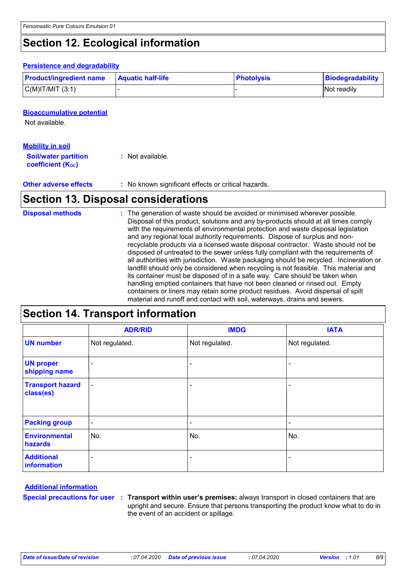### **Section 12. Ecological information**

#### **Persistence and degradability**

| <b>Product/ingredient name</b> | <b>Aquatic half-life</b> | <b>Photolysis</b> | Biodegradability |
|--------------------------------|--------------------------|-------------------|------------------|
| $C(M)$ IT/MIT $(3:1)$          |                          |                   | Not readily      |

#### **Bioaccumulative potential**

Not available.

#### **Mobility in soil**

| <b>Soil/water partition</b>    | : Not available. |
|--------------------------------|------------------|
| coefficient (K <sub>oc</sub> ) |                  |

**Other adverse effects** : No known significant effects or critical hazards.

### **Section 13. Disposal considerations**

| <b>Disposal methods</b> | : The generation of waste should be avoided or minimised wherever possible.<br>Disposal of this product, solutions and any by-products should at all times comply<br>with the requirements of environmental protection and waste disposal legislation<br>and any regional local authority requirements. Dispose of surplus and non-<br>recyclable products via a licensed waste disposal contractor. Waste should not be<br>disposed of untreated to the sewer unless fully compliant with the requirements of<br>all authorities with jurisdiction. Waste packaging should be recycled. Incineration or<br>landfill should only be considered when recycling is not feasible. This material and<br>its container must be disposed of in a safe way. Care should be taken when<br>handling emptied containers that have not been cleaned or rinsed out. Empty |
|-------------------------|---------------------------------------------------------------------------------------------------------------------------------------------------------------------------------------------------------------------------------------------------------------------------------------------------------------------------------------------------------------------------------------------------------------------------------------------------------------------------------------------------------------------------------------------------------------------------------------------------------------------------------------------------------------------------------------------------------------------------------------------------------------------------------------------------------------------------------------------------------------|
|                         | containers or liners may retain some product residues. Avoid dispersal of spilt<br>material and runoff and contact with soil, waterways, drains and sewers.                                                                                                                                                                                                                                                                                                                                                                                                                                                                                                                                                                                                                                                                                                   |

### **Section 14. Transport information**

|                                      | <b>ADR/RID</b>           | <b>IMDG</b>              | <b>IATA</b>    |
|--------------------------------------|--------------------------|--------------------------|----------------|
| <b>UN number</b>                     | Not regulated.           | Not regulated.           | Not regulated. |
| <b>UN proper</b><br>shipping name    | ٠                        |                          |                |
| <b>Transport hazard</b><br>class(es) | $\blacksquare$           | $\overline{\phantom{a}}$ |                |
| <b>Packing group</b>                 | $\blacksquare$           | ۰                        |                |
| <b>Environmental</b><br>hazards      | No.                      | No.                      | No.            |
| <b>Additional</b><br>information     | $\overline{\phantom{0}}$ | -                        | ۰              |

#### **Additional information**

**Special precautions for user Transport within user's premises:** always transport in closed containers that are **:** upright and secure. Ensure that persons transporting the product know what to do in the event of an accident or spillage.